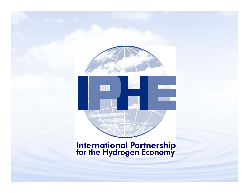

# **International Partnership<br>for the Hydrogen Economy**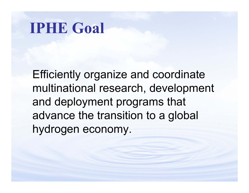# **IPHE Goal**

Efficiently organize and coordinate multinational research, development and deployment programs that advance the transition to a global hydrogen economy.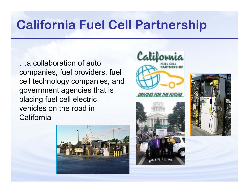## **California Fuel Cell Partnership**

…a collaboration of auto companies, fuel providers, fuel cell technology companies, and government agencies that is placing fuel cell electric vehicles on the road in **California** 







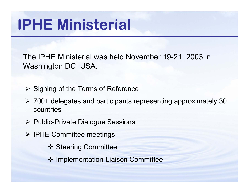# **IPHE Ministerial**

The IPHE Ministerial was held November 19-21, 2003 in Washington DC, USA.

- **► Signing of the Terms of Reference**
- ¾ 700+ delegates and participants representing approximately 30 countries
- ¾ Public-Private Dialogue Sessions
- ¾ IPHE Committee meetings
	- **❖ Steering Committee**
	- ❖ Implementation-Liaison Committee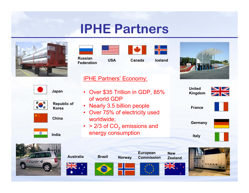### **IPHE Partners**

**Russian Federation**

**Canada**

**Iceland**

X 3

**USA**

IPHE Partners' Economy:

of world GDP

worldwide;





**Japan**

**China**



**Republic of Korea**









**Australia**

•







**Brazil Norway**









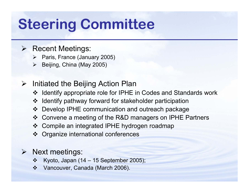# **Steering Committee**

- ¾ Recent Meetings:
	- ¾ Paris, France (January 2005)
	- $\blacktriangleright$ Beijing, China (May 2005)
- $\blacktriangleright$  Initiated the Beijing Action Plan
	- Identify appropriate role for IPHE in Codes and Standards work
	- Identify pathway forward for stakeholder participation
	- Develop IPHE communic ation and outreach package
	- Convene a meeting of the R&D managers on IPHE Partners
	- Compile an integrated IPHE hydrogen roadmap
	- Organize international conferences

#### ¾ Next meetings:

- $\frac{1}{2}$  $\div$  Kyoto, Japan (14 – 15 September 2005);
- $\frac{1}{2} \frac{1}{2} \frac{1}{2} \frac{1}{2} \frac{1}{2} \frac{1}{2} \frac{1}{2} \frac{1}{2} \frac{1}{2} \frac{1}{2} \frac{1}{2} \frac{1}{2} \frac{1}{2} \frac{1}{2} \frac{1}{2} \frac{1}{2} \frac{1}{2} \frac{1}{2} \frac{1}{2} \frac{1}{2} \frac{1}{2} \frac{1}{2} \frac{1}{2} \frac{1}{2} \frac{1}{2} \frac{1}{2} \frac{1}{2} \frac{1}{2} \frac{1}{2} \frac{1}{2} \frac{1}{2} \frac{$ Vancouver, Canada (March 2006).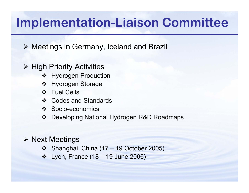## **Implementation-Liaison Committee**

¾ Meetings in Germany, Iceland and Brazil

- ¾ High Priority Activities
	- **❖** Hydrogen Production
	- Hydrogen Storage
	- Fuel Cells
	- ❖ Codes and Standards
	- ❖ Socio-economics
	- Developing National Hydrogen R&D Roadmaps

#### ¾ Next Meetings

- Shanghai, China (17 19 October 2005)
- Lyon, France (18 19 June 2006)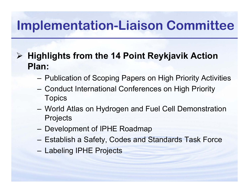## **Implementation-Liaison Committee**

¾ **Highlights from the 14 Point Reykjavik Action Plan:**

- Publication of Scoping Papers on High Priority Activities
- Conduct International Conferences on High Priority **Topics**
- World Atlas on Hydrogen and Fuel Cell Demonstration **Projects**
- Development of IPHE Roadmap
- Establish a Safety, Codes and Standards Task Force
- Labeling IPHE Projects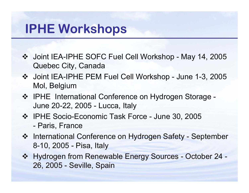## **IPHE Workshops**

- Joint IEA-IPHE SOFC Fuel Cell Workshop May 14, 2005 Quebec City, Canada
- Joint IEA-IPHE PEM Fuel Cell Workshop June 1-3, 2005 Mol, Belgium
- ❖ IPHE International Conference on Hydrogen Storage -June 20-22, 2005 - Lucca, Italy
- ❖ IPHE Socio-Economic Task Force June 30, 2005 - Paris, France
- ❖ International Conference on Hydrogen Safety September 8-10, 2005 - Pisa, Italy
- Hydrogen from Renewable Energy Sources October 24 26, 2005 - Seville, Spain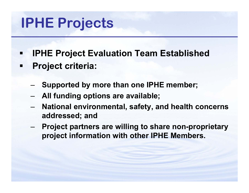# **IPHE Projects**

- **IPHE Project Evaluation Team Established Project criteria:**
	- –**Supported by more than one IPHE member;**
	- –**All funding options are available;**
	- – **National environmental, safety, and health concerns addressed; and**
	- – **Project partners are willing to share non-proprietary project information with other IPHE Members.**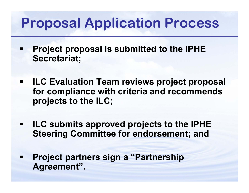# **Proposal Application Process**

- н **Project proposal is submitted to the IPHE Secretariat;**
- $\blacksquare$  **ILC Evaluation Team reviews project proposal for compliance with criteria and recommends projects to the ILC;**
- $\blacksquare$  **ILC submits approved projects to the IPHE Steering Committee for endorsement; and**
- н **Project partners sign a "Partnership Agreement".**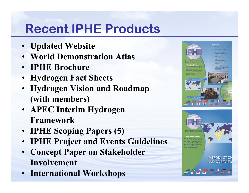# **Recent IPHE Products**

- **Updated Website**
- •**World Demonstration Atlas**
- **IPHE Brochure**
- •**Hydrogen Fact Sheets**
- **Hydrogen Vision and Roadmap (with members)**
- **APEC Interim Hydrogen Framework**
- **IPHE Scoping Papers (5)**
- •**IPHE Project and Events Guidelines**
- **Concept Paper on Stakeholder Involvement**
- **International Workshops**

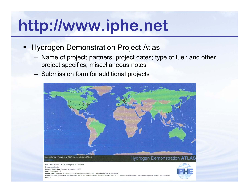# **http://www.iphe.net**

- Hydrogen Demonstration Project Atlas
	- Name of project; partners; project dates; type of fuel; and other project specifics; miscellaneous notes
	- Submission form for additional projects





CUTE Bus Demo. BP in charge of H2 station Barcelona, Spain Date of Operation: Opened September 2003 Fuel: Compress. H2 Production / Size: BP & Vandenborre Hydrogen Systems: IMET@powered water electrolyzer Notes: On-site production via renewable solar and grid electricity powered electrolysis. Uses a Linde High Booster Compressor System for high pressure H2. Link: n/a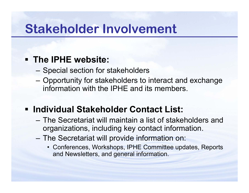## **Stakeholder Involvement**

### **The IPHE website:**

- Special section for stakeholders
- Opportunity for stakeholders to interact and exchange information with the IPHE and its members.

### **Individual Stakeholder Contact List:**

- The Secretariat will maintain a list of stakeholders and organizations, including key contact information.
- The Secretariat will provide information on:
	- Conferences, Workshops, IPHE Committee updates, Reports and Newsletters, and general information.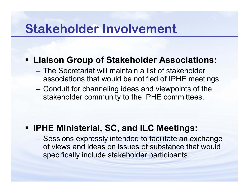## **Stakeholder Involvement**

### **Liaison Group of Stakeholder Associations:**

- –The Secretariat will maintain a list of stakeholder associations that would be notified of IPHE meetings.
- Conduit for channeling ideas and viewpoints of the stakeholder community to the IPHE committees.

### **IPHE Ministerial, SC, and ILC Meetings:**

– Sessions expressly intended to facilitate an exchange of views and ideas on issues of substance that would specifically include stakeholder participants.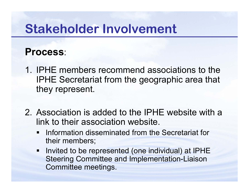## **Stakeholder Involvement**

### **Process**:

- 1. IPHE members recommend associations to the IPHE Secretariat from the geographic area that they represent.
- 2. Association is added to the IPHE website with a link to their association website.
	- $\blacksquare$  Information disseminated from the Secretariat for their members;
	- **Invited to be represented (one individual) at IPHE** Steering Committee and Implementation-Liaison Committee meetings.